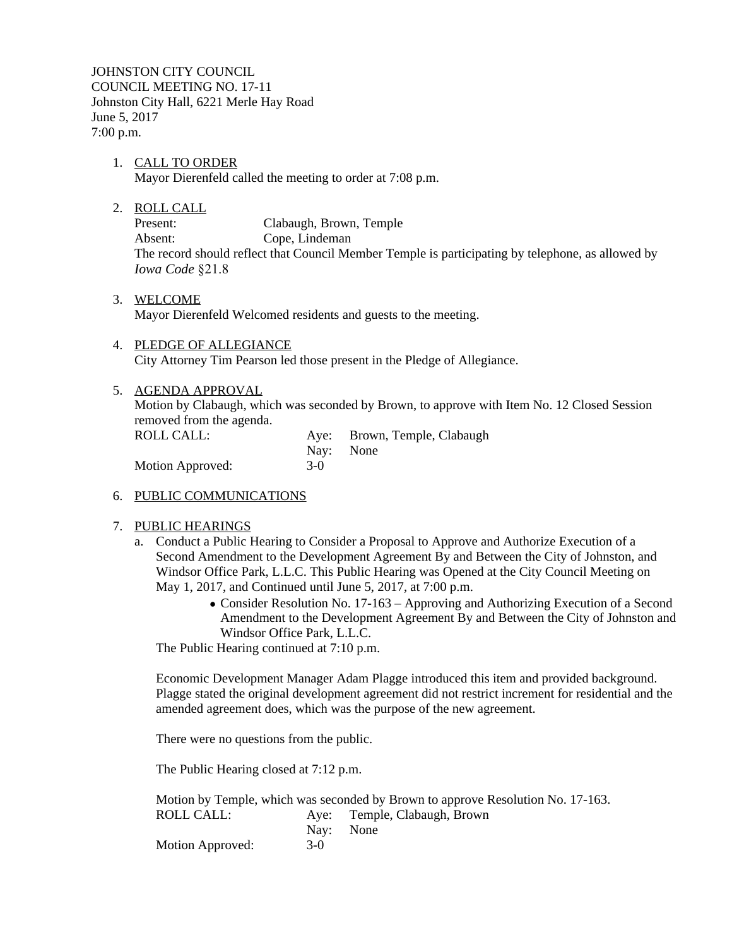JOHNSTON CITY COUNCIL COUNCIL MEETING NO. 17-11 Johnston City Hall, 6221 Merle Hay Road June 5, 2017 7:00 p.m.

- 1. CALL TO ORDER Mayor Dierenfeld called the meeting to order at 7:08 p.m.
- 2. ROLL CALL

Present: Clabaugh, Brown, Temple Absent: Cope, Lindeman The record should reflect that Council Member Temple is participating by telephone, as allowed by *Iowa Code* §21.8

- 3. WELCOME Mayor Dierenfeld Welcomed residents and guests to the meeting.
- 4. PLEDGE OF ALLEGIANCE City Attorney Tim Pearson led those present in the Pledge of Allegiance.

## 5. AGENDA APPROVAL

Motion by Clabaugh, which was seconded by Brown, to approve with Item No. 12 Closed Session removed from the agenda.

| ROLL CALL:       |       | Aye: Brown, Temple, Clabaugh |
|------------------|-------|------------------------------|
|                  |       | Nav: None                    |
| Motion Approved: | $3-0$ |                              |

## 6. PUBLIC COMMUNICATIONS

## 7. PUBLIC HEARINGS

- a. Conduct a Public Hearing to Consider a Proposal to Approve and Authorize Execution of a Second Amendment to the Development Agreement By and Between the City of Johnston, and Windsor Office Park, L.L.C. This Public Hearing was Opened at the City Council Meeting on May 1, 2017, and Continued until June 5, 2017, at 7:00 p.m.
	- Consider Resolution No. 17-163 Approving and Authorizing Execution of a Second Amendment to the Development Agreement By and Between the City of Johnston and Windsor Office Park, L.L.C.

The Public Hearing continued at 7:10 p.m.

Economic Development Manager Adam Plagge introduced this item and provided background. Plagge stated the original development agreement did not restrict increment for residential and the amended agreement does, which was the purpose of the new agreement.

There were no questions from the public.

The Public Hearing closed at 7:12 p.m.

|                  |       | Motion by Temple, which was seconded by Brown to approve Resolution No. 17-163. |
|------------------|-------|---------------------------------------------------------------------------------|
| ROLL CALL:       |       | Aye: Temple, Clabaugh, Brown                                                    |
|                  |       | Nav: None                                                                       |
| Motion Approved: | $3-0$ |                                                                                 |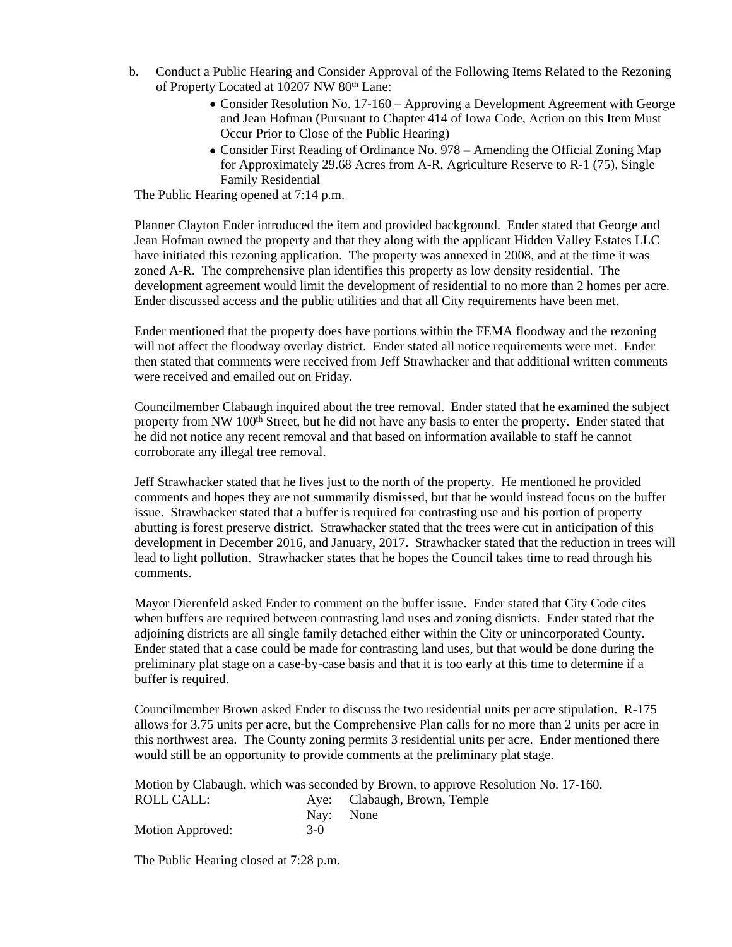- b. Conduct a Public Hearing and Consider Approval of the Following Items Related to the Rezoning of Property Located at 10207 NW 80<sup>th</sup> Lane:
	- Consider Resolution No. 17-160 Approving a Development Agreement with George and Jean Hofman (Pursuant to Chapter 414 of Iowa Code, Action on this Item Must Occur Prior to Close of the Public Hearing)
	- Consider First Reading of Ordinance No. 978 Amending the Official Zoning Map for Approximately 29.68 Acres from A-R, Agriculture Reserve to R-1 (75), Single Family Residential

The Public Hearing opened at 7:14 p.m.

Planner Clayton Ender introduced the item and provided background. Ender stated that George and Jean Hofman owned the property and that they along with the applicant Hidden Valley Estates LLC have initiated this rezoning application. The property was annexed in 2008, and at the time it was zoned A-R. The comprehensive plan identifies this property as low density residential. The development agreement would limit the development of residential to no more than 2 homes per acre. Ender discussed access and the public utilities and that all City requirements have been met.

Ender mentioned that the property does have portions within the FEMA floodway and the rezoning will not affect the floodway overlay district. Ender stated all notice requirements were met. Ender then stated that comments were received from Jeff Strawhacker and that additional written comments were received and emailed out on Friday.

Councilmember Clabaugh inquired about the tree removal. Ender stated that he examined the subject property from NW 100<sup>th</sup> Street, but he did not have any basis to enter the property. Ender stated that he did not notice any recent removal and that based on information available to staff he cannot corroborate any illegal tree removal.

Jeff Strawhacker stated that he lives just to the north of the property. He mentioned he provided comments and hopes they are not summarily dismissed, but that he would instead focus on the buffer issue. Strawhacker stated that a buffer is required for contrasting use and his portion of property abutting is forest preserve district. Strawhacker stated that the trees were cut in anticipation of this development in December 2016, and January, 2017. Strawhacker stated that the reduction in trees will lead to light pollution. Strawhacker states that he hopes the Council takes time to read through his comments.

Mayor Dierenfeld asked Ender to comment on the buffer issue. Ender stated that City Code cites when buffers are required between contrasting land uses and zoning districts. Ender stated that the adjoining districts are all single family detached either within the City or unincorporated County. Ender stated that a case could be made for contrasting land uses, but that would be done during the preliminary plat stage on a case-by-case basis and that it is too early at this time to determine if a buffer is required.

Councilmember Brown asked Ender to discuss the two residential units per acre stipulation. R-175 allows for 3.75 units per acre, but the Comprehensive Plan calls for no more than 2 units per acre in this northwest area. The County zoning permits 3 residential units per acre. Ender mentioned there would still be an opportunity to provide comments at the preliminary plat stage.

|                  |           | Motion by Clabaugh, which was seconded by Brown, to approve Resolution No. 17-160. |
|------------------|-----------|------------------------------------------------------------------------------------|
| ROLL CALL:       |           | Aye: Clabaugh, Brown, Temple                                                       |
|                  | Nav: None |                                                                                    |
| Motion Approved: | $3-0$     |                                                                                    |

The Public Hearing closed at 7:28 p.m.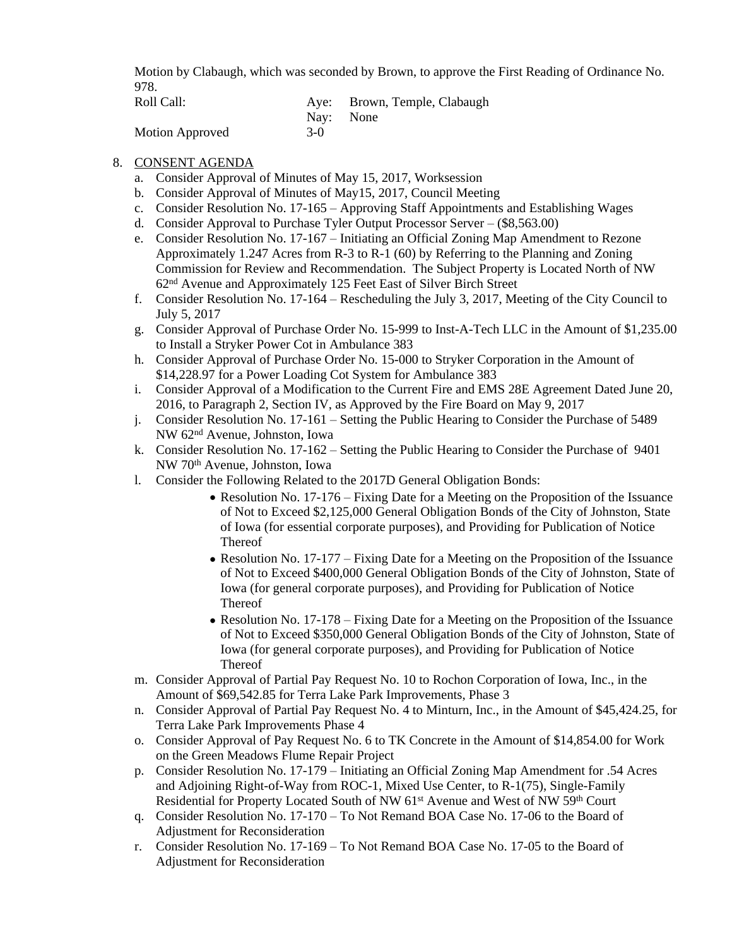Motion by Clabaugh, which was seconded by Brown, to approve the First Reading of Ordinance No. 978.

| Roll Call:      |           | Aye: Brown, Temple, Clabaugh |
|-----------------|-----------|------------------------------|
|                 | Nav: None |                              |
| Motion Approved | $3-0$     |                              |

# 8. CONSENT AGENDA

- a. Consider Approval of Minutes of May 15, 2017, Worksession
- b. Consider Approval of Minutes of May15, 2017, Council Meeting
- c. Consider Resolution No. 17-165 Approving Staff Appointments and Establishing Wages
- d. Consider Approval to Purchase Tyler Output Processor Server (\$8,563.00)
- e. Consider Resolution No. 17-167 Initiating an Official Zoning Map Amendment to Rezone Approximately 1.247 Acres from R-3 to R-1 (60) by Referring to the Planning and Zoning Commission for Review and Recommendation. The Subject Property is Located North of NW 62nd Avenue and Approximately 125 Feet East of Silver Birch Street
- f. Consider Resolution No. 17-164 Rescheduling the July 3, 2017, Meeting of the City Council to July 5, 2017
- g. Consider Approval of Purchase Order No. 15-999 to Inst-A-Tech LLC in the Amount of \$1,235.00 to Install a Stryker Power Cot in Ambulance 383
- h. Consider Approval of Purchase Order No. 15-000 to Stryker Corporation in the Amount of \$14,228.97 for a Power Loading Cot System for Ambulance 383
- i. Consider Approval of a Modification to the Current Fire and EMS 28E Agreement Dated June 20, 2016, to Paragraph 2, Section IV, as Approved by the Fire Board on May 9, 2017
- j. Consider Resolution No. 17-161 Setting the Public Hearing to Consider the Purchase of 5489 NW 62nd Avenue, Johnston, Iowa
- k. Consider Resolution No. 17-162 Setting the Public Hearing to Consider the Purchase of 9401 NW 70th Avenue, Johnston, Iowa
- l. Consider the Following Related to the 2017D General Obligation Bonds:
	- Resolution No. 17-176 Fixing Date for a Meeting on the Proposition of the Issuance of Not to Exceed \$2,125,000 General Obligation Bonds of the City of Johnston, State of Iowa (for essential corporate purposes), and Providing for Publication of Notice Thereof
	- Resolution No. 17-177 Fixing Date for a Meeting on the Proposition of the Issuance of Not to Exceed \$400,000 General Obligation Bonds of the City of Johnston, State of Iowa (for general corporate purposes), and Providing for Publication of Notice Thereof
	- Resolution No. 17-178 Fixing Date for a Meeting on the Proposition of the Issuance of Not to Exceed \$350,000 General Obligation Bonds of the City of Johnston, State of Iowa (for general corporate purposes), and Providing for Publication of Notice Thereof
- m. Consider Approval of Partial Pay Request No. 10 to Rochon Corporation of Iowa, Inc., in the Amount of \$69,542.85 for Terra Lake Park Improvements, Phase 3
- n. Consider Approval of Partial Pay Request No. 4 to Minturn, Inc., in the Amount of \$45,424.25, for Terra Lake Park Improvements Phase 4
- o. Consider Approval of Pay Request No. 6 to TK Concrete in the Amount of \$14,854.00 for Work on the Green Meadows Flume Repair Project
- p. Consider Resolution No. 17-179 Initiating an Official Zoning Map Amendment for .54 Acres and Adjoining Right-of-Way from ROC-1, Mixed Use Center, to R-1(75), Single-Family Residential for Property Located South of NW 61<sup>st</sup> Avenue and West of NW 59<sup>th</sup> Court
- q. Consider Resolution No. 17-170 To Not Remand BOA Case No. 17-06 to the Board of Adjustment for Reconsideration
- r. Consider Resolution No. 17-169 To Not Remand BOA Case No. 17-05 to the Board of Adjustment for Reconsideration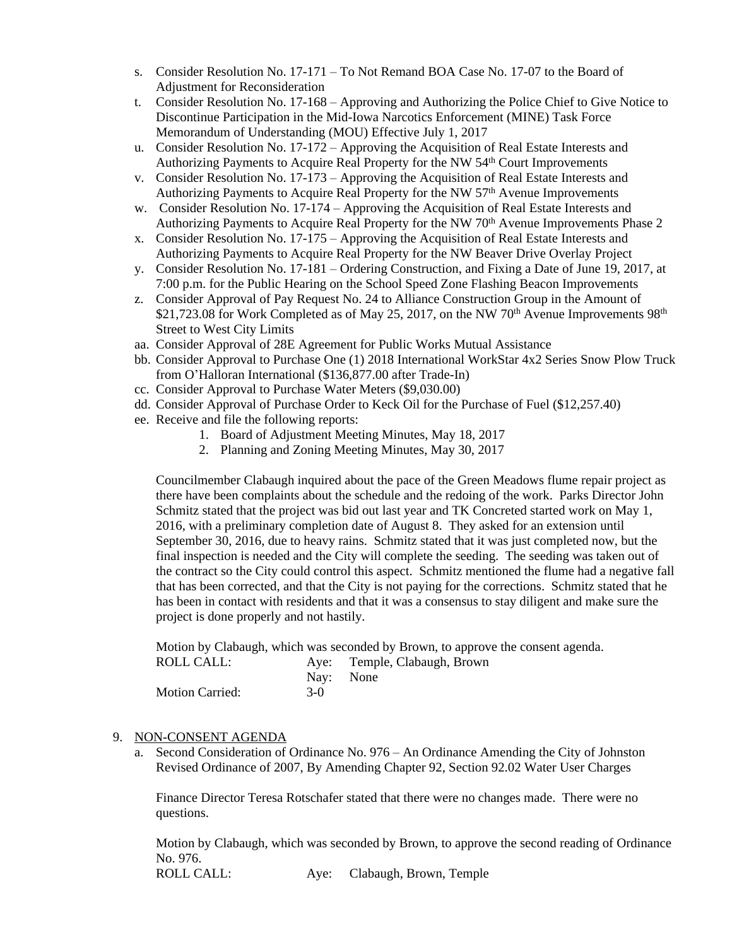- s. Consider Resolution No. 17-171 To Not Remand BOA Case No. 17-07 to the Board of Adjustment for Reconsideration
- t. Consider Resolution No. 17-168 Approving and Authorizing the Police Chief to Give Notice to Discontinue Participation in the Mid-Iowa Narcotics Enforcement (MINE) Task Force Memorandum of Understanding (MOU) Effective July 1, 2017
- u. Consider Resolution No. 17-172 Approving the Acquisition of Real Estate Interests and Authorizing Payments to Acquire Real Property for the NW 54th Court Improvements
- v. Consider Resolution No. 17-173 Approving the Acquisition of Real Estate Interests and Authorizing Payments to Acquire Real Property for the NW 57th Avenue Improvements
- w. Consider Resolution No. 17-174 Approving the Acquisition of Real Estate Interests and Authorizing Payments to Acquire Real Property for the NW  $70<sup>th</sup>$  Avenue Improvements Phase 2
- x. Consider Resolution No. 17-175 Approving the Acquisition of Real Estate Interests and Authorizing Payments to Acquire Real Property for the NW Beaver Drive Overlay Project
- y. Consider Resolution No. 17-181 Ordering Construction, and Fixing a Date of June 19, 2017, at 7:00 p.m. for the Public Hearing on the School Speed Zone Flashing Beacon Improvements
- z. Consider Approval of Pay Request No. 24 to Alliance Construction Group in the Amount of \$21,723.08 for Work Completed as of May 25, 2017, on the NW 70<sup>th</sup> Avenue Improvements  $98<sup>th</sup>$ Street to West City Limits
- aa. Consider Approval of 28E Agreement for Public Works Mutual Assistance
- bb. Consider Approval to Purchase One (1) 2018 International WorkStar 4x2 Series Snow Plow Truck from O'Halloran International (\$136,877.00 after Trade-In)
- cc. Consider Approval to Purchase Water Meters (\$9,030.00)
- dd. Consider Approval of Purchase Order to Keck Oil for the Purchase of Fuel (\$12,257.40)
- ee. Receive and file the following reports:
	- 1. Board of Adjustment Meeting Minutes, May 18, 2017
	- 2. Planning and Zoning Meeting Minutes, May 30, 2017

Councilmember Clabaugh inquired about the pace of the Green Meadows flume repair project as there have been complaints about the schedule and the redoing of the work. Parks Director John Schmitz stated that the project was bid out last year and TK Concreted started work on May 1, 2016, with a preliminary completion date of August 8. They asked for an extension until September 30, 2016, due to heavy rains. Schmitz stated that it was just completed now, but the final inspection is needed and the City will complete the seeding. The seeding was taken out of the contract so the City could control this aspect. Schmitz mentioned the flume had a negative fall that has been corrected, and that the City is not paying for the corrections. Schmitz stated that he has been in contact with residents and that it was a consensus to stay diligent and make sure the project is done properly and not hastily.

Motion by Clabaugh, which was seconded by Brown, to approve the consent agenda.

| ROLL CALL:             |           | Aye: Temple, Clabaugh, Brown |
|------------------------|-----------|------------------------------|
|                        | Nav: None |                              |
| <b>Motion Carried:</b> | $3-0$     |                              |

# 9. NON-CONSENT AGENDA

a. Second Consideration of Ordinance No. 976 – An Ordinance Amending the City of Johnston Revised Ordinance of 2007, By Amending Chapter 92, Section 92.02 Water User Charges

Finance Director Teresa Rotschafer stated that there were no changes made. There were no questions.

Motion by Clabaugh, which was seconded by Brown, to approve the second reading of Ordinance No. 976.

ROLL CALL: Aye: Clabaugh, Brown, Temple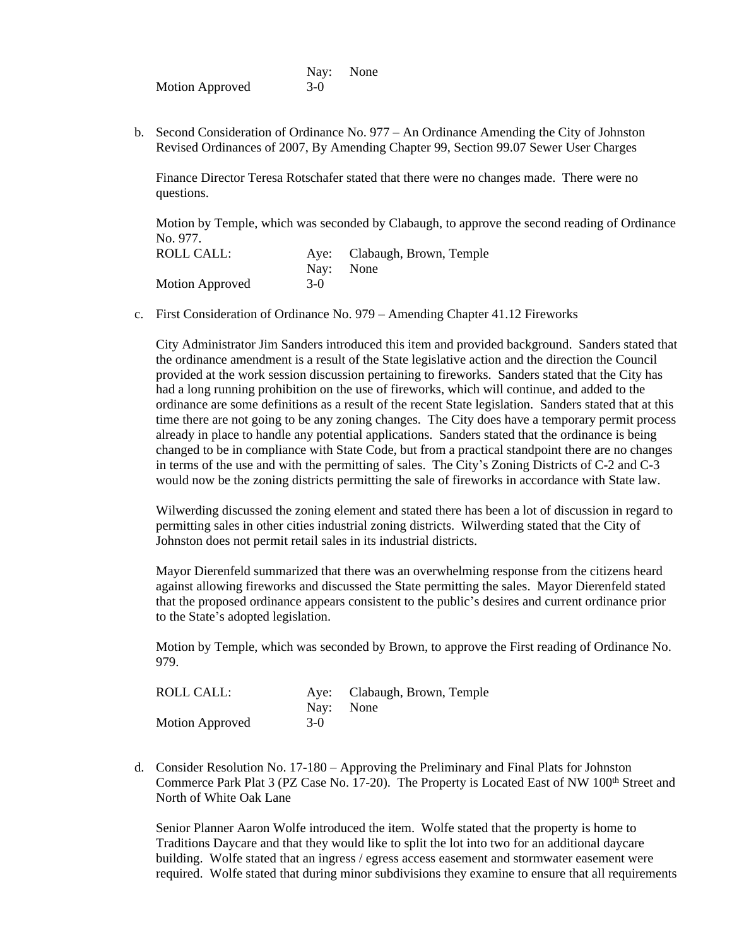|                        |       | Nay: None |
|------------------------|-------|-----------|
| <b>Motion Approved</b> | $3-0$ |           |

b. Second Consideration of Ordinance No. 977 – An Ordinance Amending the City of Johnston Revised Ordinances of 2007, By Amending Chapter 99, Section 99.07 Sewer User Charges

Finance Director Teresa Rotschafer stated that there were no changes made. There were no questions.

Motion by Temple, which was seconded by Clabaugh, to approve the second reading of Ordinance No. 977.

| <b>ROLL CALL:</b> |       | Aye: Clabaugh, Brown, Temple |
|-------------------|-------|------------------------------|
|                   |       | Nav: None                    |
| Motion Approved   | $3-0$ |                              |

c. First Consideration of Ordinance No. 979 – Amending Chapter 41.12 Fireworks

City Administrator Jim Sanders introduced this item and provided background. Sanders stated that the ordinance amendment is a result of the State legislative action and the direction the Council provided at the work session discussion pertaining to fireworks. Sanders stated that the City has had a long running prohibition on the use of fireworks, which will continue, and added to the ordinance are some definitions as a result of the recent State legislation. Sanders stated that at this time there are not going to be any zoning changes. The City does have a temporary permit process already in place to handle any potential applications. Sanders stated that the ordinance is being changed to be in compliance with State Code, but from a practical standpoint there are no changes in terms of the use and with the permitting of sales. The City's Zoning Districts of C-2 and C-3 would now be the zoning districts permitting the sale of fireworks in accordance with State law.

Wilwerding discussed the zoning element and stated there has been a lot of discussion in regard to permitting sales in other cities industrial zoning districts. Wilwerding stated that the City of Johnston does not permit retail sales in its industrial districts.

Mayor Dierenfeld summarized that there was an overwhelming response from the citizens heard against allowing fireworks and discussed the State permitting the sales. Mayor Dierenfeld stated that the proposed ordinance appears consistent to the public's desires and current ordinance prior to the State's adopted legislation.

Motion by Temple, which was seconded by Brown, to approve the First reading of Ordinance No. 979.

| ROLL CALL:      |           | Aye: Clabaugh, Brown, Temple |
|-----------------|-----------|------------------------------|
|                 | Nav: None |                              |
| Motion Approved | $3-0$     |                              |

d. Consider Resolution No. 17-180 – Approving the Preliminary and Final Plats for Johnston Commerce Park Plat 3 (PZ Case No. 17-20). The Property is Located East of NW 100<sup>th</sup> Street and North of White Oak Lane

Senior Planner Aaron Wolfe introduced the item. Wolfe stated that the property is home to Traditions Daycare and that they would like to split the lot into two for an additional daycare building. Wolfe stated that an ingress / egress access easement and stormwater easement were required. Wolfe stated that during minor subdivisions they examine to ensure that all requirements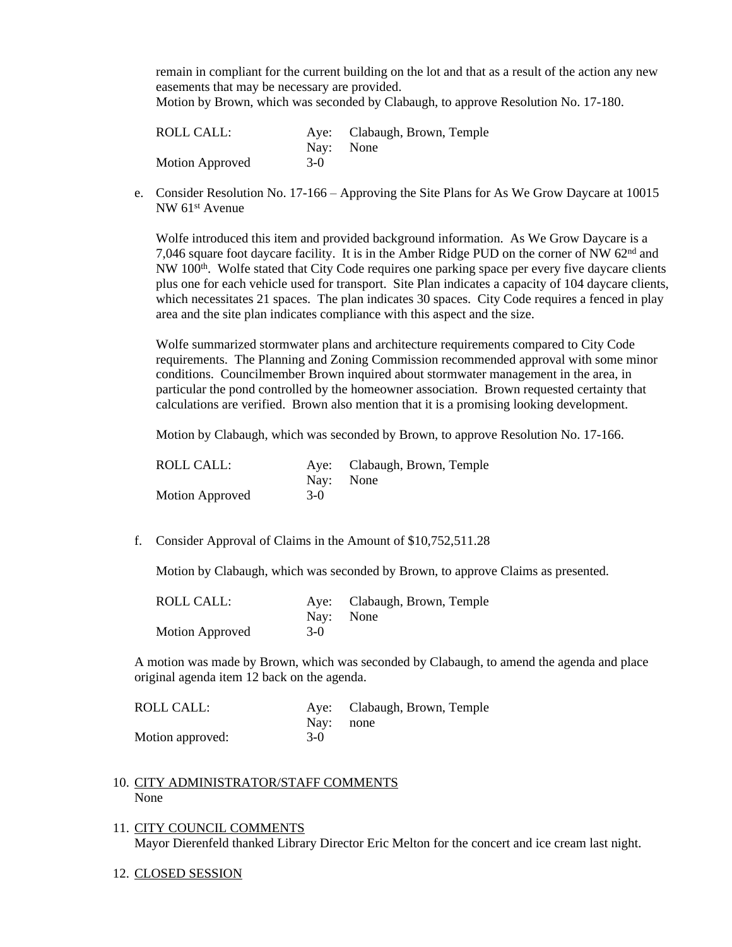remain in compliant for the current building on the lot and that as a result of the action any new easements that may be necessary are provided.

Motion by Brown, which was seconded by Clabaugh, to approve Resolution No. 17-180.

| ROLL CALL:             |           | Aye: Clabaugh, Brown, Temple |
|------------------------|-----------|------------------------------|
|                        | Nav: None |                              |
| <b>Motion Approved</b> | $3-0$     |                              |

e. Consider Resolution No. 17-166 – Approving the Site Plans for As We Grow Daycare at 10015 NW 61st Avenue

Wolfe introduced this item and provided background information. As We Grow Daycare is a 7,046 square foot daycare facility. It is in the Amber Ridge PUD on the corner of NW 62<sup>nd</sup> and NW 100<sup>th</sup>. Wolfe stated that City Code requires one parking space per every five daycare clients plus one for each vehicle used for transport. Site Plan indicates a capacity of 104 daycare clients, which necessitates 21 spaces. The plan indicates 30 spaces. City Code requires a fenced in play area and the site plan indicates compliance with this aspect and the size.

Wolfe summarized stormwater plans and architecture requirements compared to City Code requirements. The Planning and Zoning Commission recommended approval with some minor conditions. Councilmember Brown inquired about stormwater management in the area, in particular the pond controlled by the homeowner association. Brown requested certainty that calculations are verified. Brown also mention that it is a promising looking development.

Motion by Clabaugh, which was seconded by Brown, to approve Resolution No. 17-166.

| ROLL CALL:      |       | Aye: Clabaugh, Brown, Temple |
|-----------------|-------|------------------------------|
|                 |       | Nav: None                    |
| Motion Approved | $3-0$ |                              |

f. Consider Approval of Claims in the Amount of \$10,752,511.28

Motion by Clabaugh, which was seconded by Brown, to approve Claims as presented.

| ROLL CALL:      |       | Aye: Clabaugh, Brown, Temple |
|-----------------|-------|------------------------------|
|                 |       | Nav: None                    |
| Motion Approved | $3-0$ |                              |

A motion was made by Brown, which was seconded by Clabaugh, to amend the agenda and place original agenda item 12 back on the agenda.

| ROLL CALL:       |           | Aye: Clabaugh, Brown, Temple |
|------------------|-----------|------------------------------|
|                  | Nav: none |                              |
| Motion approved: | $3-0$     |                              |

- 10. CITY ADMINISTRATOR/STAFF COMMENTS None
- 11. CITY COUNCIL COMMENTS Mayor Dierenfeld thanked Library Director Eric Melton for the concert and ice cream last night.
- 12. CLOSED SESSION